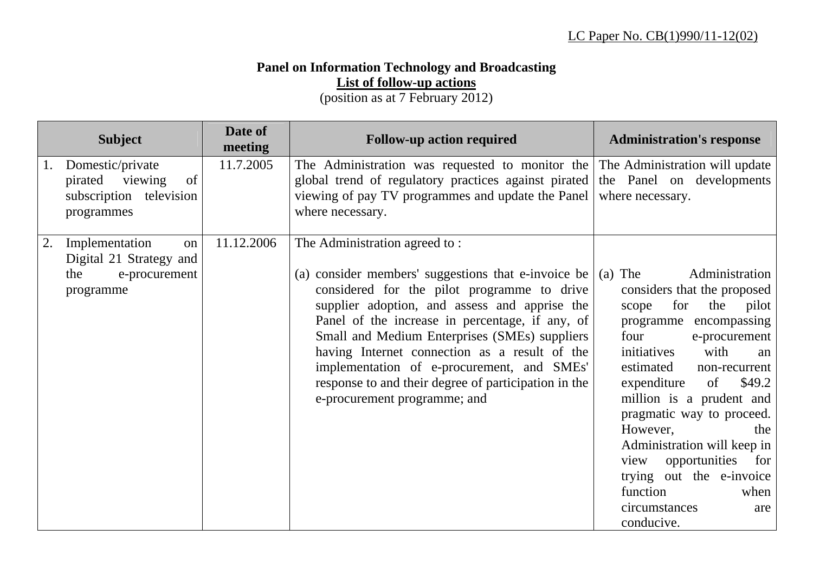## **Panel on Information Technology and Broadcasting List of follow-up actions**

(position as at 7 February 2012)

|    | <b>Subject</b>                                                                       | Date of<br>meeting | <b>Follow-up action required</b>                                                                                                                                                                                                                                                                                                                                                                                                                                                | <b>Administration's response</b>                                                                                                                                                                                                                                                                                                                                                                                                                              |
|----|--------------------------------------------------------------------------------------|--------------------|---------------------------------------------------------------------------------------------------------------------------------------------------------------------------------------------------------------------------------------------------------------------------------------------------------------------------------------------------------------------------------------------------------------------------------------------------------------------------------|---------------------------------------------------------------------------------------------------------------------------------------------------------------------------------------------------------------------------------------------------------------------------------------------------------------------------------------------------------------------------------------------------------------------------------------------------------------|
|    | Domestic/private<br>pirated viewing<br>of<br>subscription television<br>programmes   | 11.7.2005          | The Administration was requested to monitor the<br>global trend of regulatory practices against pirated<br>viewing of pay TV programmes and update the Panel<br>where necessary.                                                                                                                                                                                                                                                                                                | The Administration will update<br>the Panel on developments<br>where necessary.                                                                                                                                                                                                                                                                                                                                                                               |
| 2. | Implementation<br>on<br>Digital 21 Strategy and<br>the<br>e-procurement<br>programme | 11.12.2006         | The Administration agreed to:<br>(a) consider members' suggestions that e-invoice be<br>considered for the pilot programme to drive<br>supplier adoption, and assess and apprise the<br>Panel of the increase in percentage, if any, of<br>Small and Medium Enterprises (SMEs) suppliers<br>having Internet connection as a result of the<br>implementation of e-procurement, and SMEs'<br>response to and their degree of participation in the<br>e-procurement programme; and | Administration<br>$(a)$ The<br>considers that the proposed<br>scope for<br>the<br>pilot<br>programme encompassing<br>four<br>e-procurement<br>initiatives<br>with<br>an<br>estimated<br>non-recurrent<br>\$49.2 <br>expenditure of<br>million is a prudent and<br>pragmatic way to proceed.<br>However,<br>the<br>Administration will keep in<br>view opportunities for<br>trying out the e-invoice<br>function<br>when<br>circumstances<br>are<br>conducive. |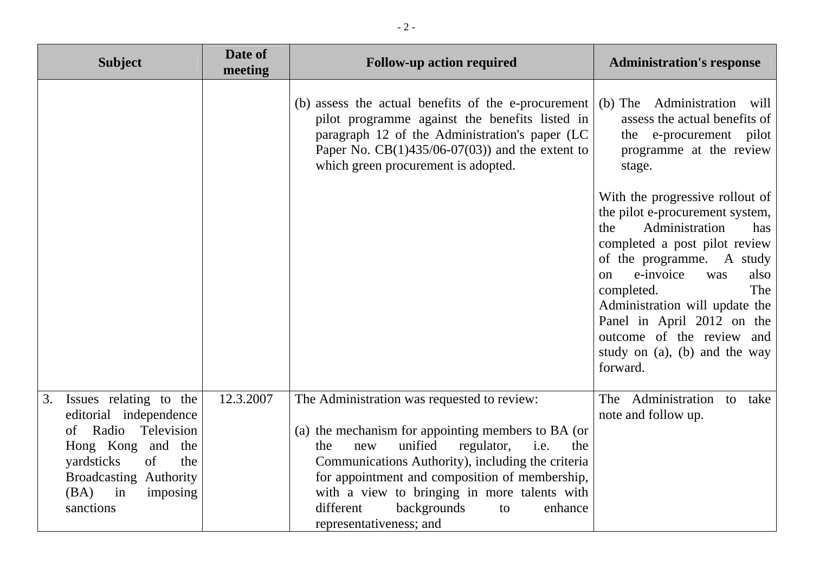| <b>Subject</b>                                                                                                                                                                                        | Date of<br>meeting | <b>Follow-up action required</b>                                                                                                                                                                                                                                                                                                                                                       | <b>Administration's response</b>                                                                                                                                                                                                                                                                                                                                  |
|-------------------------------------------------------------------------------------------------------------------------------------------------------------------------------------------------------|--------------------|----------------------------------------------------------------------------------------------------------------------------------------------------------------------------------------------------------------------------------------------------------------------------------------------------------------------------------------------------------------------------------------|-------------------------------------------------------------------------------------------------------------------------------------------------------------------------------------------------------------------------------------------------------------------------------------------------------------------------------------------------------------------|
|                                                                                                                                                                                                       |                    | (b) assess the actual benefits of the e-procurement<br>pilot programme against the benefits listed in<br>paragraph 12 of the Administration's paper (LC<br>Paper No. $CB(1)435/06-07(03)$ and the extent to<br>which green procurement is adopted.                                                                                                                                     | Administration will<br>$(b)$ The<br>assess the actual benefits of<br>the e-procurement pilot<br>programme at the review<br>stage.                                                                                                                                                                                                                                 |
|                                                                                                                                                                                                       |                    |                                                                                                                                                                                                                                                                                                                                                                                        | With the progressive rollout of<br>the pilot e-procurement system,<br>Administration<br>the<br>has<br>completed a post pilot review<br>of the programme. A study<br>e-invoice<br>was<br>also<br>on<br>The<br>completed.<br>Administration will update the<br>Panel in April 2012 on the<br>outcome of the review and<br>study on (a), (b) and the way<br>forward. |
| 3.<br>Issues relating to the<br>editorial independence<br>of Radio Television<br>Hong Kong and the<br>of<br>yardsticks<br>the<br><b>Broadcasting Authority</b><br>in<br>(BA)<br>imposing<br>sanctions | 12.3.2007          | The Administration was requested to review:<br>(a) the mechanism for appointing members to BA (or<br>unified<br>regulator,<br>i.e.<br>the<br>the<br>new<br>Communications Authority), including the criteria<br>for appointment and composition of membership,<br>with a view to bringing in more talents with<br>backgrounds<br>different<br>enhance<br>to<br>representativeness; and | The Administration to take<br>note and follow up.                                                                                                                                                                                                                                                                                                                 |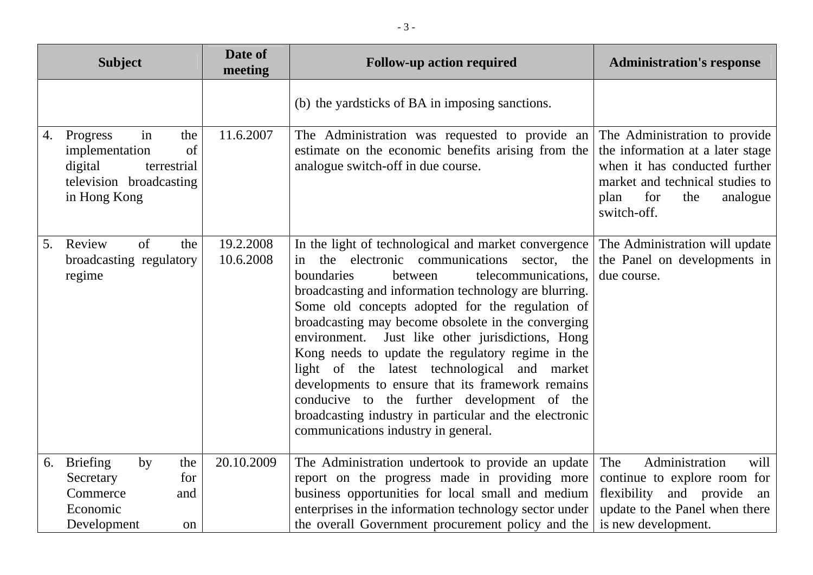| <b>Subject</b>                                                                                                           | Date of<br>meeting     | <b>Follow-up action required</b>                                                                                                                                                                                                                                                                                                                                                                                                                                                                                                                                                                                                                                                        | <b>Administration's response</b>                                                                                                                                                       |
|--------------------------------------------------------------------------------------------------------------------------|------------------------|-----------------------------------------------------------------------------------------------------------------------------------------------------------------------------------------------------------------------------------------------------------------------------------------------------------------------------------------------------------------------------------------------------------------------------------------------------------------------------------------------------------------------------------------------------------------------------------------------------------------------------------------------------------------------------------------|----------------------------------------------------------------------------------------------------------------------------------------------------------------------------------------|
|                                                                                                                          |                        | (b) the yardsticks of BA in imposing sanctions.                                                                                                                                                                                                                                                                                                                                                                                                                                                                                                                                                                                                                                         |                                                                                                                                                                                        |
| in<br>Progress<br>the<br>4.<br>of<br>implementation<br>digital<br>terrestrial<br>television broadcasting<br>in Hong Kong | 11.6.2007              | The Administration was requested to provide an<br>estimate on the economic benefits arising from the<br>analogue switch-off in due course.                                                                                                                                                                                                                                                                                                                                                                                                                                                                                                                                              | The Administration to provide<br>the information at a later stage<br>when it has conducted further<br>market and technical studies to<br>for<br>analogue<br>plan<br>the<br>switch-off. |
| Review<br>of<br>5.<br>the<br>broadcasting regulatory<br>regime                                                           | 19.2.2008<br>10.6.2008 | In the light of technological and market convergence<br>the electronic communications sector, the<br>in<br>boundaries<br>telecommunications,<br>between<br>broadcasting and information technology are blurring.<br>Some old concepts adopted for the regulation of<br>broadcasting may become obsolete in the converging<br>environment. Just like other jurisdictions, Hong<br>Kong needs to update the regulatory regime in the<br>light of the latest technological and market<br>developments to ensure that its framework remains<br>conducive to the further development of the<br>broadcasting industry in particular and the electronic<br>communications industry in general. | The Administration will update<br>the Panel on developments in<br>due course.                                                                                                          |
| <b>Briefing</b><br>the<br>6.<br>by<br>Secretary<br>for<br>Commerce<br>and<br>Economic<br>Development<br>on               | 20.10.2009             | The Administration undertook to provide an update<br>report on the progress made in providing more<br>business opportunities for local small and medium<br>enterprises in the information technology sector under<br>the overall Government procurement policy and the                                                                                                                                                                                                                                                                                                                                                                                                                  | Administration<br>The<br>will<br>continue to explore room for<br>flexibility and provide<br>an<br>update to the Panel when there<br>is new development.                                |